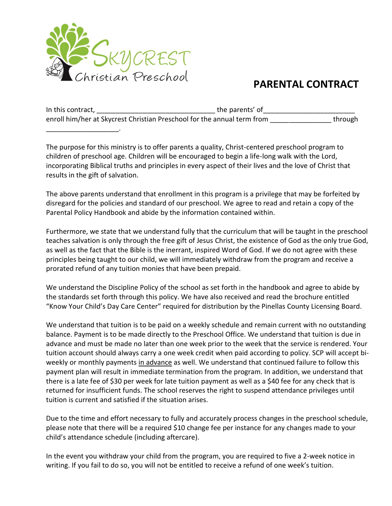

\_\_\_\_\_\_\_\_\_\_\_\_\_\_\_\_\_\_\_.

## **PARENTAL CONTRACT**

In this contract, \_\_\_\_\_\_\_\_\_\_\_\_\_\_\_\_\_\_\_\_\_\_\_\_\_\_\_\_\_\_\_ the parents' of\_\_\_\_\_\_\_\_\_\_\_\_\_\_\_\_\_\_\_\_\_\_\_\_ enroll him/her at Skycrest Christian Preschool for the annual term from the state of through

The purpose for this ministry is to offer parents a quality, Christ-centered preschool program to children of preschool age. Children will be encouraged to begin a life-long walk with the Lord, incorporating Biblical truths and principles in every aspect of their lives and the love of Christ that results in the gift of salvation.

The above parents understand that enrollment in this program is a privilege that may be forfeited by disregard for the policies and standard of our preschool. We agree to read and retain a copy of the Parental Policy Handbook and abide by the information contained within.

Furthermore, we state that we understand fully that the curriculum that will be taught in the preschool teaches salvation is only through the free gift of Jesus Christ, the existence of God as the only true God, as well as the fact that the Bible is the inerrant, inspired Word of God. If we do not agree with these principles being taught to our child, we will immediately withdraw from the program and receive a prorated refund of any tuition monies that have been prepaid.

We understand the Discipline Policy of the school as set forth in the handbook and agree to abide by the standards set forth through this policy. We have also received and read the brochure entitled "Know Your Child's Day Care Center" required for distribution by the Pinellas County Licensing Board.

We understand that tuition is to be paid on a weekly schedule and remain current with no outstanding balance. Payment is to be made directly to the Preschool Office. We understand that tuition is due in advance and must be made no later than one week prior to the week that the service is rendered. Your tuition account should always carry a one week credit when paid according to policy. SCP will accept biweekly or monthly payments in advance as well. We understand that continued failure to follow this payment plan will result in immediate termination from the program. In addition, we understand that there is a late fee of \$30 per week for late tuition payment as well as a \$40 fee for any check that is returned for insufficient funds. The school reserves the right to suspend attendance privileges until tuition is current and satisfied if the situation arises.

Due to the time and effort necessary to fully and accurately process changes in the preschool schedule, please note that there will be a required \$10 change fee per instance for any changes made to your child's attendance schedule (including aftercare).

In the event you withdraw your child from the program, you are required to five a 2-week notice in writing. If you fail to do so, you will not be entitled to receive a refund of one week's tuition.